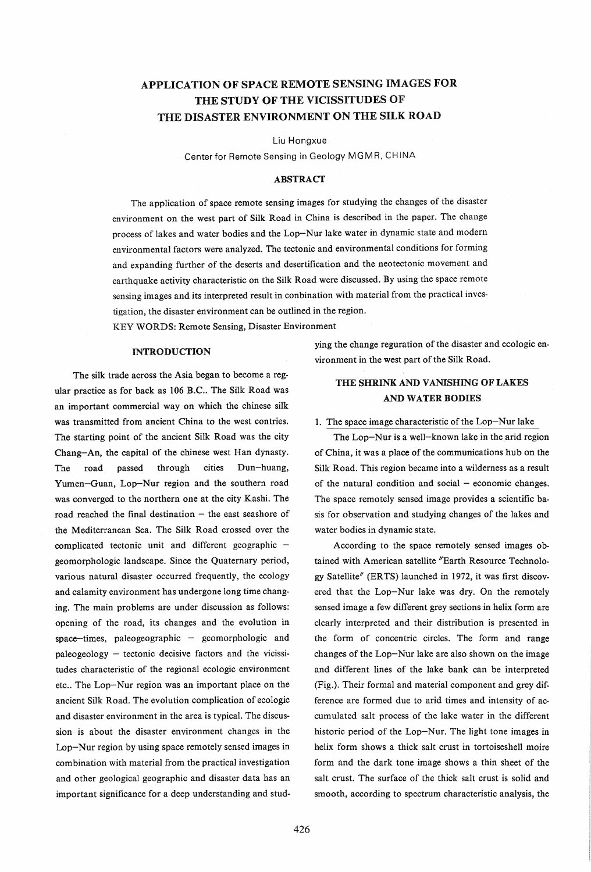# APPLICATION OF SPACE REMOTE SENSING IMAGES FOR THE STUDY OF THE VICISSITUDES OF THE DISASTER ENVIRONMENT ON THE SILK ROAD

Liu Hongxue

Center for Remote Sensing in Geology MGMR, CHINA

### ABSTRACT

The application of space remote sensing images for studying the changes of the disaster environment on the west part of Silk Road in China is described in the paper. The change process of lakes and water bodies and the Lop-Nur lake water in dynamic state and modern environmental factors were analyzed. The tectonic and environmental conditions for forming and expanding further of the deserts and desertification and the neotectonic movement and earthquake activity characteristic on the Silk Road were discussed. By using the space remote sensing images and its interpreted result in conbination with material from the practical investigation, the disaster environment can be outlined in the region.

KEY WORDS: Remote Sensing, Disaster Environment

#### INTRODUCTION

The silk trade across the Asia began to become a regular practice as for back as 106 B.C.. The Silk Road was an important commercial way on which the chinese silk was transmitted from ancient China to the west contries. The starting point of the ancient Silk Road was the city Chang-An, the capital of the chinese west Han dynasty. The road passed through cities Dun-huang, Yumen-Guan, Lop-Nur region and the southern road was converged to the northern one at the city Kashi. The road reached the final destination  $-$  the east seashore of the Mediterranean Sea. The Silk Road crossed over the complicated tectonic unit and different geographic geomorphologic landscape. Since the Quaternary period, various natural disaster occurred frequently, the ecology and calamity environment has undergone long time changing. The main problems are under discussion as follows: opening of the road, its changes and the evolution in  $space-time$ , paleogeographic - geomorphologic and  $paleogeology - tectonic decisive factors and the vicissi$ tudes characteristic of the regional ecologic environment etc.. The Lop-Nur region was an important place on the ancient Silk Road. The evolution complication of ecologic and disaster environment in the area is typical. The discussion is about the disaster environment changes in the Lop-Nur region by using space remotely sensed images in combination with material from the practical investigation and other geological geographic and disaster data has an important significance for a deep understanding and studying the change reguration of the disaster and ecologic environment in the west part of the Silk Road.

# THE SHRINK AND VANISHING OF LAKES AND WATER BODIES

### 1. The space image characteristic of the Lop-Nur lake

The Lop-Nur is a well-known lake in the arid region of China, it was a place of the communications hub on the Silk Road. This region became into a wilderness as a result of the natural condition and social  $-$  economic changes. The space remotely sensed image provides a scientific basis for observation and studying changes of the lakes and water bodies in dynamic state.

According to the space remotely sensed images obtained with American satellite "Earth Resource Technology Satellite" (ER TS) launched in 1972, it was first discovered that the Lop-Nur lake was dry. On the remotely sensed image a few different grey sections in helix form are clearly interpreted and their distribution is presented in the form of concentric circles. The form and range changes of the Lop-Nur lake are also shown on the image and different lines of the lake bank can be interpreted (Fig.). Their formal and material component and grey difference are formed due to arid times and intensity of accumulated salt process of the lake water in the different historic period of the Lop-Nur. The light tone images in helix form shows a thick salt crust in tortoiseshell moire form and the dark tone image shows a thin sheet of the salt crust. The surface of the thick salt crust is solid and smooth, according to spectrum characteristic analysis, the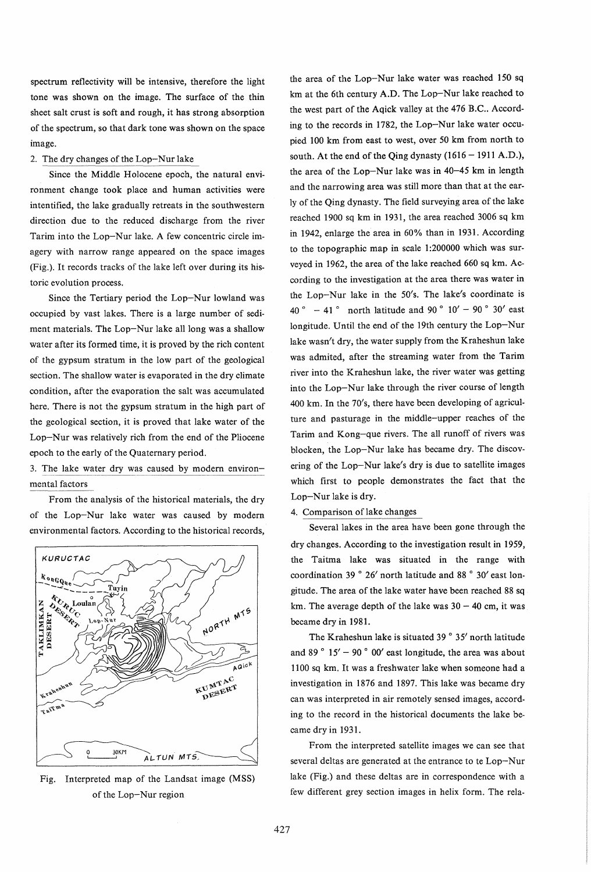spectrum reflectivity will be intensive, therefore the light tone was shown on the image. The surface of the thin sheet salt crust is soft and rough, it has strong absorption of the spectrum, so that dark tone was shown on the space image.

#### 2. The dry changes of the Lop-Nur lake

Since the Middle Holocene epoch, the natural environment change took place and human activities were intentified, the lake gradually retreats in the southwestern direction due to the reduced discharge from the river Tarim into the Lop-Nur lake. A few concentric circle imagery with narrow range appeared on the space images (Fig.). It records tracks of the lake left over during its historic evolution process.

Since the Tertiary period the Lop-Nur lowland was occupied by vast lakes. There is a large number of sediment materials. The Lop-Nur lake all long was a shallow water after its formed time, it is proved by the rich content of the gypsum stratum in the low part of the geological section. The shallow water is evaporated in the dry climate condition, after the evaporation the salt was accumulated here. There is not the gypsum stratum in the high part of the geological section, it is proved that lake water of the Lop-Nur was relatively rich from the end of the Pliocene epoch to the early of the Quaternary period.

3. The lake water dry was caused by modern environmental factors

From the analysis of the historical materials, the dry of the Lop-Nur lake water was caused by modern environmental factors. According to the historical records,



Fig. Interpreted map of the Landsat image (MSS) of the Lop-Nur region

the area of the Lop-Nur lake water was reached 150 sq km at the 6th century A.D. The Lop-Nur lake reached to the west part of the Agick valley at the 476 B.C.. According to the records in 1782, the Lop-Nur lake water occupied 100 km from east to west, over 50 km from north to south. At the end of the Qing dynasty  $(1616 - 1911 \text{ A.D.})$ . the area of the Lop-Nur lake was in 40-45 km in length and the narrowing area was still more than that at the early of the Qing dynasty. The field surveying area of the lake reached 1900 sq km in 1931, the area reached 3006 sq km in 1942, enlarge the area in 60% than in 1931. According to the topographic map in scale 1:200000 which was surveyed in 1962, the area of the lake reached 660 sq km. According to the investigation at the area there was water in the Lop-Nur lake in the 50's. The lake's coordinate is 40  $^{\circ}$  - 41  $^{\circ}$  north latitude and 90  $^{\circ}$  10' - 90  $^{\circ}$  30' east longitude. Until the end of the 19th century the Lop-Nur lake wasn't dry, the water supply from the Kraheshun lake was admited, after the streaming water from the Tarim river into the Kraheshun lake, the river water was getting into the Lop-Nur lake through the river course of length 400 km. In the 70's, there have been developing of agriculture and pasturage in the middle-upper reaches of the Tarim and Kong-que rivers. The all runoff of rivers was blocken, the Lop-Nur lake has became dry. The discovering of the Lop-Nur lake's dry is due to satellite images which first to people demonstrates the fact that the Lop-Nur lake is dry.

### 4. Comparison of lake changes

Several lakes in the area have been gone through the dry changes. According to the investigation result in 1959, the Taitma lake was situated in the range with coordination 39 ° 26' north latitude and 88 ° 30' east longitude. The area of the lake water have been reached 88 sq km. The average depth of the lake was  $30 - 40$  cm, it was became dry in 1981.

The Kraheshun lake is situated  $39°35'$  north latitude and 89 $^{\circ}$  15' - 90 $^{\circ}$  00' east longitude, the area was about 1100 sq km. It was a freshwater lake when someone had a investigation in 1876 and 1897. This lake was became dry can was interpreted in air remotely sensed images, according to the record in the historical documents the lake became dry in 1931.

From the interpreted satellite images we can see that several deltas are generated at the entrance to te Lop-Nur lake (Fig.) and these deltas are in correspondence with a few different grey section images in helix form. The rela